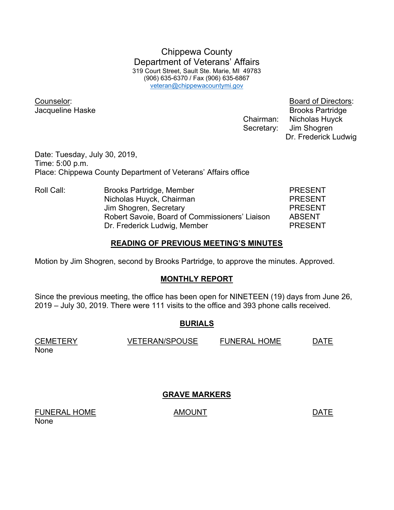Chippewa County Department of Veterans' Affairs 319 Court Street, Sault Ste. Marie, MI 49783 (906) 635-6370 / Fax (906) 635-6867 veteran@chippewacountymi.gov

Counselor: Board of Directors:

**Jacqueline Haske** Brooks Partridge Chairman: Nicholas Huyck Secretary: Jim Shogren Dr. Frederick Ludwig

Date: Tuesday, July 30, 2019, Time: 5:00 p.m. Place: Chippewa County Department of Veterans' Affairs office

Roll Call: Brooks Partridge, Member PRESENT Nicholas Huyck, Chairman **PRESENT** Jim Shogren, Secretary **PRESENT**  Robert Savoie, Board of Commissioners' Liaison ABSENT Dr. Frederick Ludwig, Member PRESENT

#### READING OF PREVIOUS MEETING'S MINUTES

Motion by Jim Shogren, second by Brooks Partridge, to approve the minutes. Approved.

### MONTHLY REPORT

Since the previous meeting, the office has been open for NINETEEN (19) days from June 26, 2019 – July 30, 2019. There were 111 visits to the office and 393 phone calls received.

### BURIALS

CEMETERY VETERAN/SPOUSE FUNERAL HOME DATE None

GRAVE MARKERS

FUNERAL HOME AMOUNT AMOUNT None